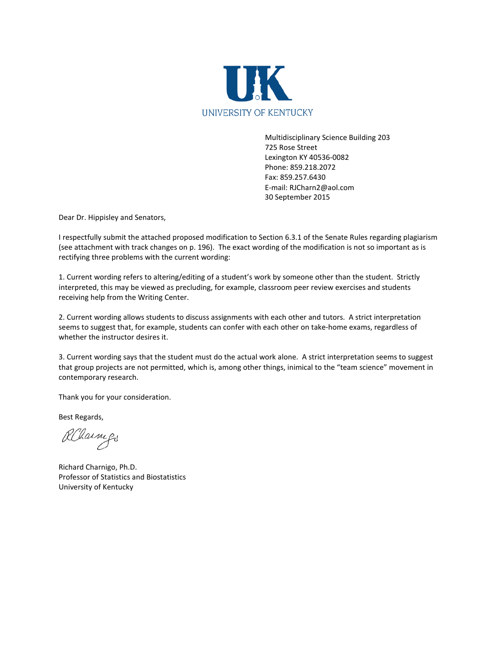

Multidisciplinary Science Building 203 725 Rose Street Lexington KY 40536-0082 Phone: 859.218.2072 Fax: 859.257.6430 E-mail: RJCharn2@aol.com 30 September 2015

Dear Dr. Hippisley and Senators,

I respectfully submit the attached proposed modification to Section 6.3.1 of the Senate Rules regarding plagiarism (see attachment with track changes on p. 196). The exact wording of the modification is not so important as is rectifying three problems with the current wording:

1. Current wording refers to altering/editing of a student's work by someone other than the student. Strictly interpreted, this may be viewed as precluding, for example, classroom peer review exercises and students receiving help from the Writing Center.

2. Current wording allows students to discuss assignments with each other and tutors. A strict interpretation seems to suggest that, for example, students can confer with each other on take-home exams, regardless of whether the instructor desires it.

3. Current wording says that the student must do the actual work alone. A strict interpretation seems to suggest that group projects are not permitted, which is, among other things, inimical to the "team science" movement in contemporary research.

Thank you for your consideration.

Best Regards,

Albarry

Richard Charnigo, Ph.D. Professor of Statistics and Biostatistics University of Kentucky